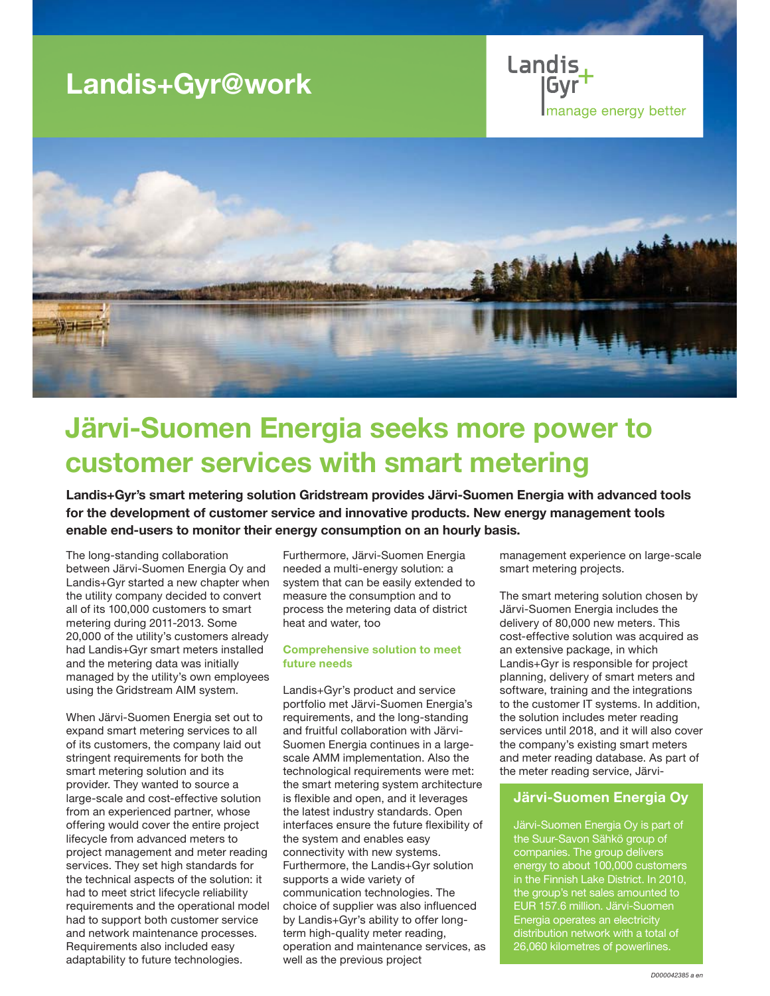# Landis+Gyr@work

Landis **Imanage energy better** 



# Järvi-Suomen Energia seeks more power to customer services with smart metering

Landis+Gyr's smart metering solution Gridstream provides Järvi-Suomen Energia with advanced tools for the development of customer service and innovative products. New energy management tools enable end-users to monitor their energy consumption on an hourly basis.

The long-standing collaboration between Järvi-Suomen Energia Oy and Landis+Gyr started a new chapter when the utility company decided to convert all of its 100,000 customers to smart metering during 2011-2013. Some 20,000 of the utility's customers already had Landis+Gyr smart meters installed and the metering data was initially managed by the utility's own employees using the Gridstream AIM system.

When Järvi-Suomen Energia set out to expand smart metering services to all of its customers, the company laid out stringent requirements for both the smart metering solution and its provider. They wanted to source a large-scale and cost-effective solution from an experienced partner, whose offering would cover the entire project lifecycle from advanced meters to project management and meter reading services. They set high standards for the technical aspects of the solution: it had to meet strict lifecycle reliability requirements and the operational model had to support both customer service and network maintenance processes. Requirements also included easy adaptability to future technologies.

Furthermore, Järvi-Suomen Energia needed a multi-energy solution: a system that can be easily extended to measure the consumption and to process the metering data of district heat and water, too

#### Comprehensive solution to meet future needs

Landis+Gyr's product and service portfolio met Järvi-Suomen Energia's requirements, and the long-standing and fruitful collaboration with Järvi-Suomen Energia continues in a largescale AMM implementation. Also the technological requirements were met: the smart metering system architecture is flexible and open, and it leverages the latest industry standards. Open interfaces ensure the future flexibility of the system and enables easy connectivity with new systems. Furthermore, the Landis+Gyr solution supports a wide variety of communication technologies. The choice of supplier was also influenced by Landis+Gyr's ability to offer longterm high-quality meter reading, operation and maintenance services, as well as the previous project

management experience on large-scale smart metering projects.

The smart metering solution chosen by Järvi-Suomen Energia includes the delivery of 80,000 new meters. This cost-effective solution was acquired as an extensive package, in which Landis+Gyr is responsible for project planning, delivery of smart meters and software, training and the integrations to the customer IT systems. In addition, the solution includes meter reading services until 2018, and it will also cover the company's existing smart meters and meter reading database. As part of the meter reading service, Järvi-

### Järvi-Suomen Energia Oy

Järvi-Suomen Energia Oy is part of the Suur-Savon Sähkö group of companies. The group delivers energy to about 100,000 customers in the Finnish Lake District. In 2010, the group's net sales amounted to EUR 157.6 million. Järvi-Suomen Energia operates an electricity distribution network with a total of 26,060 kilometres of powerlines.